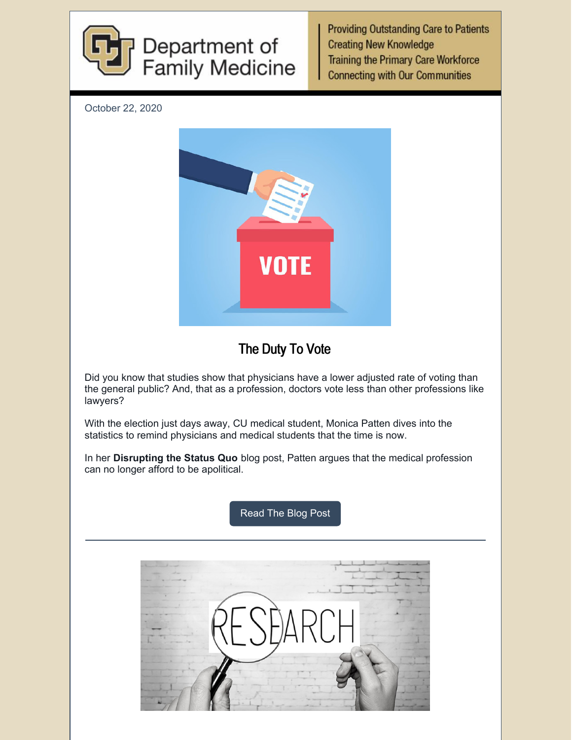

**Providing Outstanding Care to Patients Creating New Knowledge Training the Primary Care Workforce Connecting with Our Communities** 

October 22, 2020



## The Duty To Vote

Did you know that studies show that physicians have a lower adjusted rate of voting than the general public? And, that as a profession, doctors vote less than other professions like lawyers?

With the election just days away, CU medical student, Monica Patten dives into the statistics to remind physicians and medical students that the time is now.

In her **Disrupting the Status Quo** blog post, Patten argues that the medical profession can no longer afford to be apolitical.

[Read](https://medschool.cuanschutz.edu/family-medicine/about/news/disrupting-the-status-quo-blog/disrupting-the-status-quo/the-duty-to-vote) The Blog Post

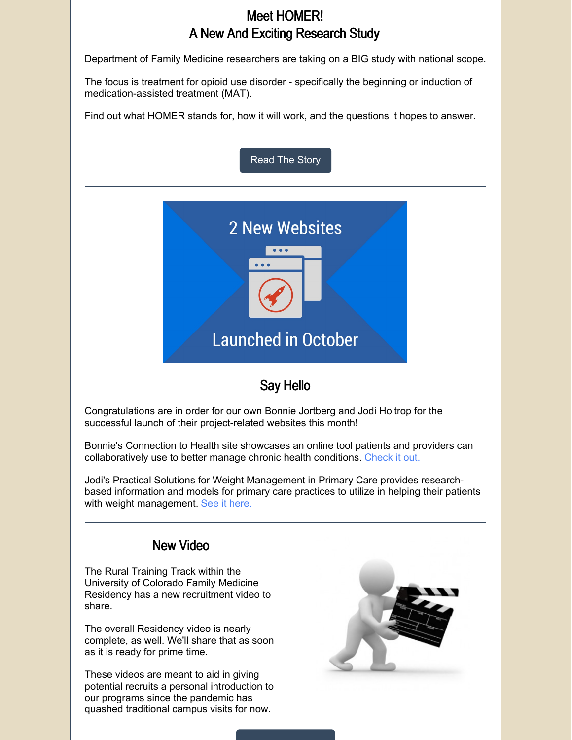## Meet HOMER! A New And Exciting Research Study

Department of Family Medicine researchers are taking on a BIG study with national scope.

The focus is treatment for opioid use disorder - specifically the beginning or induction of medication-assisted treatment (MAT).

Find out what HOMER stands for, how it will work, and the questions it hopes to answer.



## Say Hello

Congratulations are in order for our own Bonnie Jortberg and Jodi Holtrop for the successful launch of their project-related websites this month!

Bonnie's Connection to Health site showcases an online tool patients and providers can collaboratively use to better manage chronic health conditions. [Check](https://medschool.cuanschutz.edu/connectiontohealth/home) it out.

Jodi's Practical Solutions for Weight Management in Primary Care provides researchbased information and models for primary care practices to utilize in helping their patients with weight management. See it [here.](https://medschool.cuanschutz.edu/weightmanagementinprimarycare/home)

## New Video

The Rural Training Track within the University of Colorado Family Medicine Residency has a new recruitment video to share.

The overall Residency video is nearly complete, as well. We'll share that as soon as it is ready for prime time.

These videos are meant to aid in giving potential recruits a personal introduction to our programs since the pandemic has quashed traditional campus visits for now.